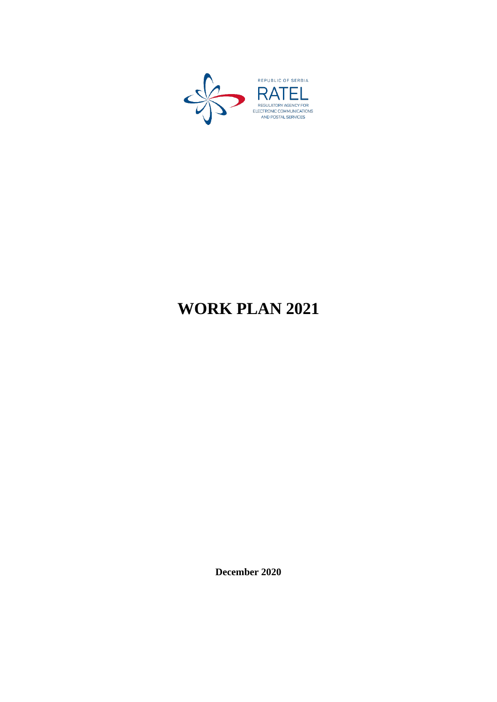

# **WORK PLAN 2021**

**December 2020**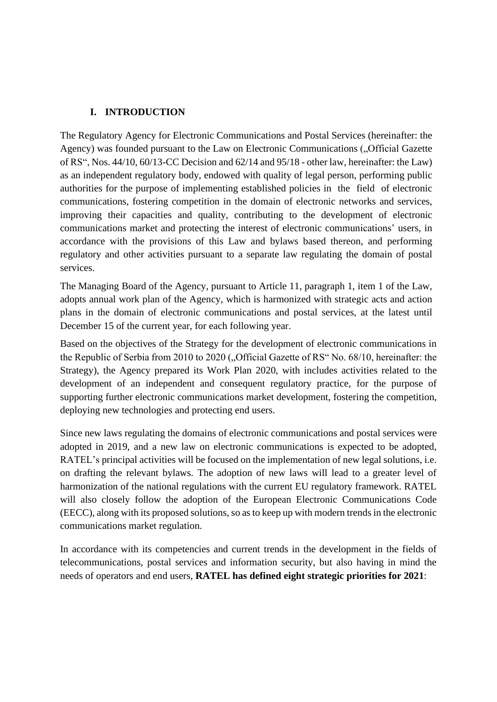## **I. INTRODUCTION**

The Regulatory Agency for Electronic Communications and Postal Services (hereinafter: the Agency) was founded pursuant to the Law on Electronic Communications ("Official Gazette of RS", Nos. 44/10, 60/13-CC Decision and 62/14 and 95/18 - other law, hereinafter: the Law) as an independent regulatory body, endowed with quality of legal person, performing public authorities for the purpose of implementing established policies in the field of electronic communications, fostering competition in the domain of electronic networks and services, improving their capacities and quality, contributing to the development of electronic communications market and protecting the interest of electronic communications' users, in accordance with the provisions of this Law and bylaws based thereon, and performing regulatory and other activities pursuant to a separate law regulating the domain of postal services.

The Managing Board of the Agency, pursuant to Article 11, paragraph 1, item 1 of the Law, adopts annual work plan of the Agency, which is harmonized with strategic acts and action plans in the domain of electronic communications and postal services, at the latest until December 15 of the current year, for each following year.

Based on the objectives of the Strategy for the development of electronic communications in the Republic of Serbia from 2010 to 2020 ("Official Gazette of RS" No. 68/10, hereinafter: the Strategy), the Agency prepared its Work Plan 2020, with includes activities related to the development of an independent and consequent regulatory practice, for the purpose of supporting further electronic communications market development, fostering the competition, deploying new technologies and protecting end users.

Since new laws regulating the domains of electronic communications and postal services were adopted in 2019, and a new law on electronic communications is expected to be adopted, RATEL's principal activities will be focused on the implementation of new legal solutions, i.e. on drafting the relevant bylaws. The adoption of new laws will lead to a greater level of harmonization of the national regulations with the current EU regulatory framework. RATEL will also closely follow the adoption of the European Electronic Communications Code (EECC), along with its proposed solutions, so as to keep up with modern trends in the electronic communications market regulation.

In accordance with its competencies and current trends in the development in the fields of telecommunications, postal services and information security, but also having in mind the needs of operators and end users, **RATEL has defined eight strategic priorities for 2021**: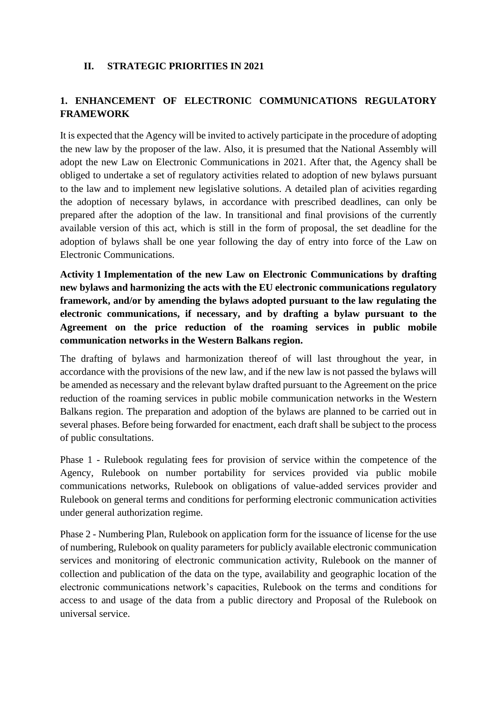## **II. STRATEGIC PRIORITIES IN 2021**

# **1. ENHANCEMENT OF ELECTRONIC COMMUNICATIONS REGULATORY FRAMEWORK**

It is expected that the Agency will be invited to actively participate in the procedure of adopting the new law by the proposer of the law. Also, it is presumed that the National Assembly will adopt the new Law on Electronic Communications in 2021. After that, the Agency shall be obliged to undertake a set of regulatory activities related to adoption of new bylaws pursuant to the law and to implement new legislative solutions. A detailed plan of acivities regarding the adoption of necessary bylaws, in accordance with prescribed deadlines, can only be prepared after the adoption of the law. In transitional and final provisions of the currently available version of this act, which is still in the form of proposal, the set deadline for the adoption of bylaws shall be one year following the day of entry into force of the Law on Electronic Communications.

**Activity 1 Implementation of the new Law on Electronic Communications by drafting new bylaws and harmonizing the acts with the EU electronic communications regulatory framework, and/or by amending the bylaws adopted pursuant to the law regulating the electronic communications, if necessary, and by drafting a bylaw pursuant to the Agreement on the price reduction of the roaming services in public mobile communication networks in the Western Balkans region.**

The drafting of bylaws and harmonization thereof of will last throughout the year, in accordance with the provisions of the new law, and if the new law is not passed the bylaws will be amended as necessary and the relevant bylaw drafted pursuant to the Agreement on the price reduction of the roaming services in public mobile communication networks in the Western Balkans region. The preparation and adoption of the bylaws are planned to be carried out in several phases. Before being forwarded for enactment, each draft shall be subject to the process of public consultations.

Phase 1 - Rulebook regulating fees for provision of service within the competence of the Agency, Rulebook on number portability for services provided via public mobile communications networks, Rulebook on obligations of value-added services provider and Rulebook on general terms and conditions for performing electronic communication activities under general authorization regime.

Phase 2 - Numbering Plan, Rulebook on application form for the issuance of license for the use of numbering, Rulebook on quality parameters for publicly available electronic communication services and monitoring of electronic communication activity, Rulebook on the manner of collection and publication of the data on the type, availability and geographic location of the electronic communications network's capacities, Rulebook on the terms and conditions for access to and usage of the data from a public directory and Proposal of the Rulebook on universal service.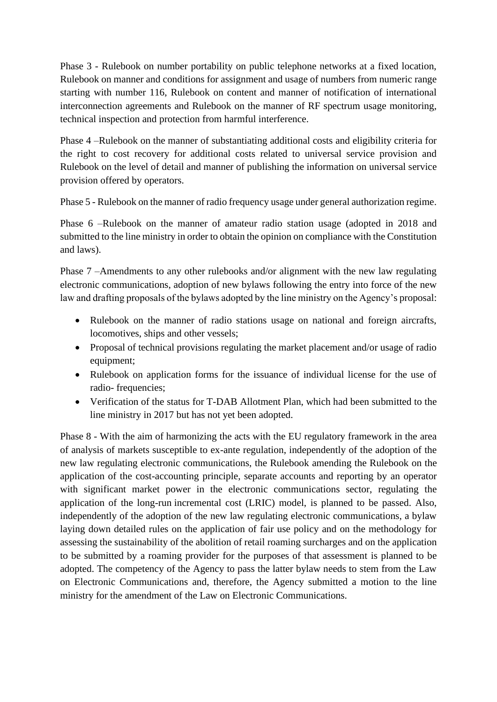Phase 3 - Rulebook on number portability on public telephone networks at a fixed location, Rulebook on manner and conditions for assignment and usage of numbers from numeric range starting with number 116, Rulebook on content and manner of notification of international interconnection agreements and Rulebook on the manner of RF spectrum usage monitoring, technical inspection and protection from harmful interference.

Phase 4 –Rulebook on the manner of substantiating additional costs and eligibility criteria for the right to cost recovery for additional costs related to universal service provision and Rulebook on the level of detail and manner of publishing the information on universal service provision offered by operators.

Phase 5 - Rulebook on the manner of radio frequency usage under general authorization regime.

Phase 6 –Rulebook on the manner of amateur radio station usage (adopted in 2018 and submitted to the line ministry in order to obtain the opinion on compliance with the Constitution and laws).

Phase 7 –Amendments to any other rulebooks and/or alignment with the new law regulating electronic communications, adoption of new bylaws following the entry into force of the new law and drafting proposals of the bylaws adopted by the line ministry on the Agency's proposal:

- Rulebook on the manner of radio stations usage on national and foreign aircrafts, locomotives, ships and other vessels;
- Proposal of technical provisions regulating the market placement and/or usage of radio equipment;
- Rulebook on application forms for the issuance of individual license for the use of radio- frequencies;
- Verification of the status for T-DAB Allotment Plan, which had been submitted to the line ministry in 2017 but has not yet been adopted.

Phase 8 - With the aim of harmonizing the acts with the EU regulatory framework in the area of analysis of markets susceptible to ex-ante regulation, independently of the adoption of the new law regulating electronic communications, the Rulebook amending the Rulebook on the application of the cost-accounting principle, separate accounts and reporting by an operator with significant market power in the electronic communications sector, regulating the application of the long-run incremental cost (LRIC) model, is planned to be passed. Also, independently of the adoption of the new law regulating electronic communications, a bylaw laying down detailed rules on the application of fair use policy and on the methodology for assessing the sustainability of the abolition of retail roaming surcharges and on the application to be submitted by a roaming provider for the purposes of that assessment is planned to be adopted. The competency of the Agency to pass the latter bylaw needs to stem from the Law on Electronic Communications and, therefore, the Agency submitted a motion to the line ministry for the amendment of the Law on Electronic Communications.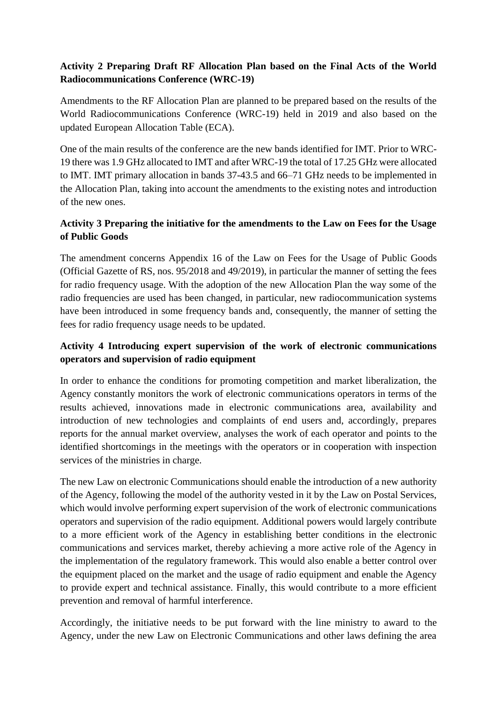# **Activity 2 Preparing Draft RF Allocation Plan based on the Final Acts of the World Radiocommunications Conference (WRC-19)**

Amendments to the RF Allocation Plan are planned to be prepared based on the results of the World Radiocommunications Conference (WRC-19) held in 2019 and also based on the updated European Allocation Table (ECA).

One of the main results of the conference are the new bands identified for IMT. Prior to WRC-19 there was 1.9 GHz allocated to IMT and after WRC-19 the total of 17.25 GHz were allocated to IMT. IMT primary allocation in bands 37-43.5 and 66–71 GHz needs to be implemented in the Allocation Plan, taking into account the amendments to the existing notes and introduction of the new ones.

# **Activity 3 Preparing the initiative for the amendments to the Law on Fees for the Usage of Public Goods**

The amendment concerns Appendix 16 of the Law on Fees for the Usage of Public Goods (Official Gazette of RS, nos. 95/2018 and 49/2019), in particular the manner of setting the fees for radio frequency usage. With the adoption of the new Allocation Plan the way some of the radio frequencies are used has been changed, in particular, new radiocommunication systems have been introduced in some frequency bands and, consequently, the manner of setting the fees for radio frequency usage needs to be updated.

# **Activity 4 Introducing expert supervision of the work of electronic communications operators and supervision of radio equipment**

In order to enhance the conditions for promoting competition and market liberalization, the Agency constantly monitors the work of electronic communications operators in terms of the results achieved, innovations made in electronic communications area, availability and introduction of new technologies and complaints of end users and, accordingly, prepares reports for the annual market overview, analyses the work of each operator and points to the identified shortcomings in the meetings with the operators or in cooperation with inspection services of the ministries in charge.

The new Law on electronic Communications should enable the introduction of a new authority of the Agency, following the model of the authority vested in it by the Law on Postal Services, which would involve performing expert supervision of the work of electronic communications operators and supervision of the radio equipment. Additional powers would largely contribute to a more efficient work of the Agency in establishing better conditions in the electronic communications and services market, thereby achieving a more active role of the Agency in the implementation of the regulatory framework. This would also enable a better control over the equipment placed on the market and the usage of radio equipment and enable the Agency to provide expert and technical assistance. Finally, this would contribute to a more efficient prevention and removal of harmful interference.

Accordingly, the initiative needs to be put forward with the line ministry to award to the Agency, under the new Law on Electronic Communications and other laws defining the area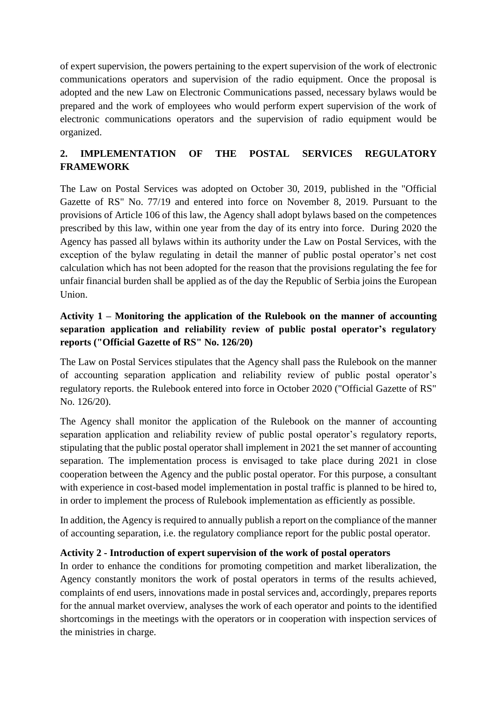of expert supervision, the powers pertaining to the expert supervision of the work of electronic communications operators and supervision of the radio equipment. Once the proposal is adopted and the new Law on Electronic Communications passed, necessary bylaws would be prepared and the work of employees who would perform expert supervision of the work of electronic communications operators and the supervision of radio equipment would be organized.

# **2. IMPLEMENTATION OF THE POSTAL SERVICES REGULATORY FRAMEWORK**

The Law on Postal Services was adopted on October 30, 2019, published in the "Official Gazette of RS" No. 77/19 and entered into force on November 8, 2019. Pursuant to the provisions of Article 106 of this law, the Agency shall adopt bylaws based on the competences prescribed by this law, within one year from the day of its entry into force. During 2020 the Agency has passed all bylaws within its authority under the Law on Postal Services, with the exception of the bylaw regulating in detail the manner of public postal operator's net cost calculation which has not been adopted for the reason that the provisions regulating the fee for unfair financial burden shall be applied as of the day the Republic of Serbia joins the European Union.

# **Activity 1 – Monitoring the application of the Rulebook on the manner of accounting separation application and reliability review of public postal operator's regulatory reports ("Official Gazette of RS" No. 126/20)**

The Law on Postal Services stipulates that the Agency shall pass the Rulebook on the manner of accounting separation application and reliability review of public postal operator's regulatory reports. the Rulebook entered into force in October 2020 ("Official Gazette of RS" No. 126/20).

The Agency shall monitor the application of the Rulebook on the manner of accounting separation application and reliability review of public postal operator's regulatory reports, stipulating that the public postal operator shall implement in 2021 the set manner of accounting separation. The implementation process is envisaged to take place during 2021 in close cooperation between the Agency and the public postal operator. For this purpose, a consultant with experience in cost-based model implementation in postal traffic is planned to be hired to, in order to implement the process of Rulebook implementation as efficiently as possible.

In addition, the Agency is required to annually publish a report on the compliance of the manner of accounting separation, i.e. the regulatory compliance report for the public postal operator.

# **Activity 2 - Introduction of expert supervision of the work of postal operators**

In order to enhance the conditions for promoting competition and market liberalization, the Agency constantly monitors the work of postal operators in terms of the results achieved, complaints of end users, innovations made in postal services and, accordingly, prepares reports for the annual market overview, analyses the work of each operator and points to the identified shortcomings in the meetings with the operators or in cooperation with inspection services of the ministries in charge.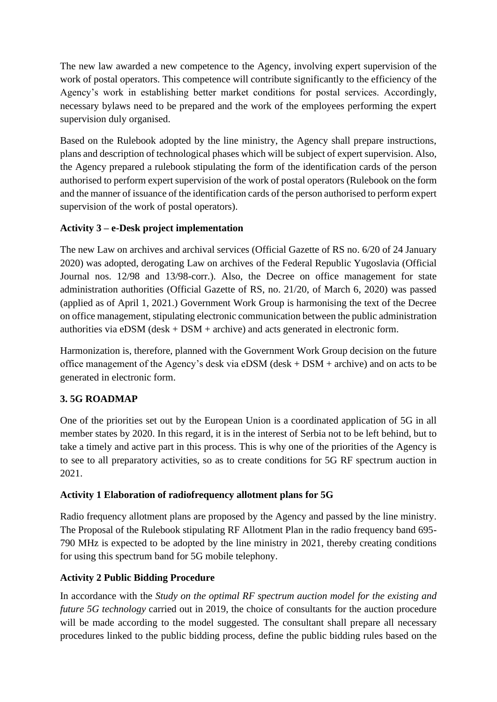The new law awarded a new competence to the Agency, involving expert supervision of the work of postal operators. This competence will contribute significantly to the efficiency of the Agency's work in establishing better market conditions for postal services. Accordingly, necessary bylaws need to be prepared and the work of the employees performing the expert supervision duly organised.

Based on the Rulebook adopted by the line ministry, the Agency shall prepare instructions, plans and description of technological phases which will be subject of expert supervision. Also, the Agency prepared a rulebook stipulating the form of the identification cards of the person authorised to perform expert supervision of the work of postal operators (Rulebook on the form and the manner of issuance of the identification cards of the person authorised to perform expert supervision of the work of postal operators).

# **Activity 3 – e-Desk project implementation**

The new Law on archives and archival services (Official Gazette of RS no. 6/20 of 24 January 2020) was adopted, derogating Law on archives of the Federal Republic Yugoslavia (Official Journal nos. 12/98 and 13/98-corr.). Also, the Decree on office management for state administration authorities (Official Gazette of RS, no. 21/20, of March 6, 2020) was passed (applied as of April 1, 2021.) Government Work Group is harmonising the text of the Decree on office management, stipulating electronic communication between the public administration authorities via  $eDSM$  (desk  $+$  DSM  $+$  archive) and acts generated in electronic form.

Harmonization is, therefore, planned with the Government Work Group decision on the future office management of the Agency's desk via eDSM (desk + DSM + archive) and on acts to be generated in electronic form.

# **3. 5G ROADMAP**

One of the priorities set out by the European Union is a coordinated application of 5G in all member states by 2020. In this regard, it is in the interest of Serbia not to be left behind, but to take a timely and active part in this process. This is why one of the priorities of the Agency is to see to all preparatory activities, so as to create conditions for 5G RF spectrum auction in 2021.

# **Activity 1 Elaboration of radiofrequency allotment plans for 5G**

Radio frequency allotment plans are proposed by the Agency and passed by the line ministry. The Proposal of the Rulebook stipulating RF Allotment Plan in the radio frequency band 695- 790 MHz is expected to be adopted by the line ministry in 2021, thereby creating conditions for using this spectrum band for 5G mobile telephony.

# **Activity 2 Public Bidding Procedure**

In accordance with the *Study on the optimal RF spectrum auction model for the existing and future 5G technology* carried out in 2019, the choice of consultants for the auction procedure will be made according to the model suggested. The consultant shall prepare all necessary procedures linked to the public bidding process, define the public bidding rules based on the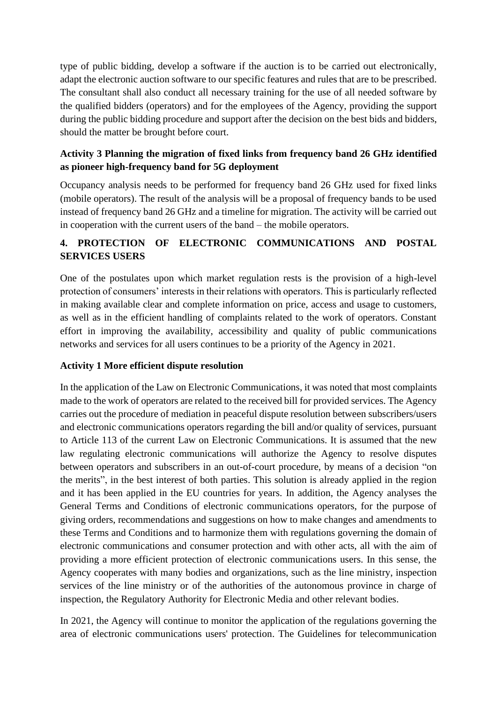type of public bidding, develop a software if the auction is to be carried out electronically, adapt the electronic auction software to our specific features and rules that are to be prescribed. The consultant shall also conduct all necessary training for the use of all needed software by the qualified bidders (operators) and for the employees of the Agency, providing the support during the public bidding procedure and support after the decision on the best bids and bidders, should the matter be brought before court.

# **Activity 3 Planning the migration of fixed links from frequency band 26 GHz identified as pioneer high-frequency band for 5G deployment**

Occupancy analysis needs to be performed for frequency band 26 GHz used for fixed links (mobile operators). The result of the analysis will be a proposal of frequency bands to be used instead of frequency band 26 GHz and a timeline for migration. The activity will be carried out in cooperation with the current users of the band – the mobile operators.

# **4. PROTECTION OF ELECTRONIC COMMUNICATIONS AND POSTAL SERVICES USERS**

One of the postulates upon which market regulation rests is the provision of a high-level protection of consumers' interests in their relations with operators. This is particularly reflected in making available clear and complete information on price, access and usage to customers, as well as in the efficient handling of complaints related to the work of operators. Constant effort in improving the availability, accessibility and quality of public communications networks and services for all users continues to be a priority of the Agency in 2021.

#### **Activity 1 More efficient dispute resolution**

In the application of the Law on Electronic Communications, it was noted that most complaints made to the work of operators are related to the received bill for provided services. The Agency carries out the procedure of mediation in peaceful dispute resolution between subscribers/users and electronic communications operators regarding the bill and/or quality of services, pursuant to Article 113 of the current Law on Electronic Communications. It is assumed that the new law regulating electronic communications will authorize the Agency to resolve disputes between operators and subscribers in an out-of-court procedure, by means of a decision "on the merits", in the best interest of both parties. This solution is already applied in the region and it has been applied in the EU countries for years. In addition, the Agency analyses the General Terms and Conditions of electronic communications operators, for the purpose of giving orders, recommendations and suggestions on how to make changes and amendments to these Terms and Conditions and to harmonize them with regulations governing the domain of electronic communications and consumer protection and with other acts, all with the aim of providing a more efficient protection of electronic communications users. In this sense, the Agency cooperates with many bodies and organizations, such as the line ministry, inspection services of the line ministry or of the authorities of the autonomous province in charge of inspection, the Regulatory Authority for Electronic Media and other relevant bodies.

In 2021, the Agency will continue to monitor the application of the regulations governing the area of electronic communications users' protection. The Guidelines for telecommunication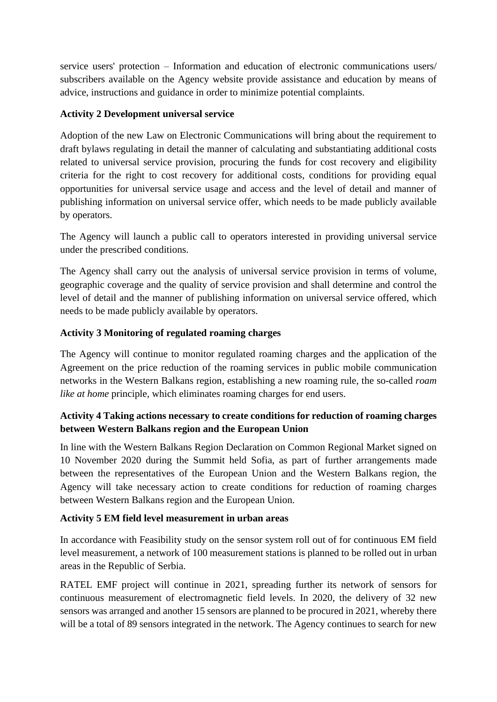service users' protection – Information and education of electronic communications users/ subscribers available on the Agency website provide assistance and education by means of advice, instructions and guidance in order to minimize potential complaints.

## **Activity 2 Development universal service**

Adoption of the new Law on Electronic Communications will bring about the requirement to draft bylaws regulating in detail the manner of calculating and substantiating additional costs related to universal service provision, procuring the funds for cost recovery and eligibility criteria for the right to cost recovery for additional costs, conditions for providing equal opportunities for universal service usage and access and the level of detail and manner of publishing information on universal service offer, which needs to be made publicly available by operators.

The Agency will launch a public call to operators interested in providing universal service under the prescribed conditions.

The Agency shall carry out the analysis of universal service provision in terms of volume, geographic coverage and the quality of service provision and shall determine and control the level of detail and the manner of publishing information on universal service offered, which needs to be made publicly available by operators.

## **Activity 3 Monitoring of regulated roaming charges**

The Agency will continue to monitor regulated roaming charges and the application of the Agreement on the price reduction of the roaming services in public mobile communication networks in the Western Balkans region, establishing a new roaming rule, the so-called *roam like at home* principle, which eliminates roaming charges for end users.

# **Activity 4 Taking actions necessary to create conditions for reduction of roaming charges between Western Balkans region and the European Union**

In line with the Western Balkans Region Declaration on Common Regional Market signed on 10 November 2020 during the Summit held Sofia, as part of further arrangements made between the representatives of the European Union and the Western Balkans region, the Agency will take necessary action to create conditions for reduction of roaming charges between Western Balkans region and the European Union.

#### **Activity 5 EM field level measurement in urban areas**

In accordance with Feasibility study on the sensor system roll out of for continuous EM field level measurement, a network of 100 measurement stations is planned to be rolled out in urban areas in the Republic of Serbia.

RATEL EMF project will continue in 2021, spreading further its network of sensors for continuous measurement of electromagnetic field levels. In 2020, the delivery of 32 new sensors was arranged and another 15 sensors are planned to be procured in 2021, whereby there will be a total of 89 sensors integrated in the network. The Agency continues to search for new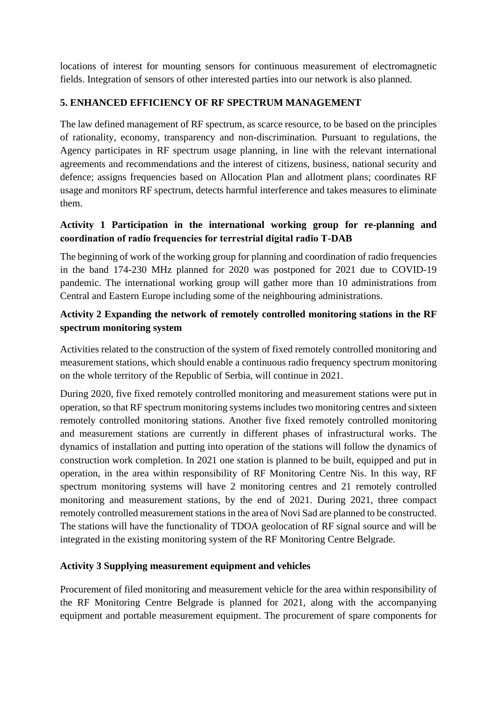locations of interest for mounting sensors for continuous measurement of electromagnetic fields. Integration of sensors of other interested parties into our network is also planned.

## **5. ENHANCED EFFICIENCY OF RF SPECTRUM MANAGEMENT**

The law defined management of RF spectrum, as scarce resource, to be based on the principles of rationality, economy, transparency and non-discrimination. Pursuant to regulations, the Agency participates in RF spectrum usage planning, in line with the relevant international agreements and recommendations and the interest of citizens, business, national security and defence; assigns frequencies based on Allocation Plan and allotment plans; coordinates RF usage and monitors RF spectrum, detects harmful interference and takes measures to eliminate them.

## **Activity 1 Participation in the international working group for re-planning and coordination of radio frequencies for terrestrial digital radio Т-DAB**

The beginning of work of the working group for planning and coordination of radio frequencies in the band 174-230 MHz planned for 2020 was postponed for 2021 due to COVID-19 pandemic. The international working group will gather more than 10 administrations from Central and Eastern Europe including some of the neighbouring administrations.

# **Activity 2 Expanding the network of remotely controlled monitoring stations in the RF spectrum monitoring system**

Activities related to the construction of the system of fixed remotely controlled monitoring and measurement stations, which should enable a continuous radio frequency spectrum monitoring on the whole territory of the Republic of Serbia, will continue in 2021.

During 2020, five fixed remotely controlled monitoring and measurement stations were put in operation, so that RF spectrum monitoring systems includes two monitoring centres and sixteen remotely controlled monitoring stations. Another five fixed remotely controlled monitoring and measurement stations are currently in different phases of infrastructural works. The dynamics of installation and putting into operation of the stations will follow the dynamics of construction work completion. In 2021 one station is planned to be built, equipped and put in operation, in the area within responsibility of RF Monitoring Centre Nis. In this way, RF spectrum monitoring systems will have 2 monitoring centres and 21 remotely controlled monitoring and measurement stations, by the end of 2021. During 2021, three compact remotely controlled measurement stations in the area of Novi Sad are planned to be constructed. The stations will have the functionality of TDOA geolocation of RF signal source and will be integrated in the existing monitoring system of the RF Monitoring Centre Belgrade.

#### **Activity 3 Supplying measurement equipment and vehicles**

Procurement of filed monitoring and measurement vehicle for the area within responsibility of the RF Monitoring Centre Belgrade is planned for 2021, along with the accompanying equipment and portable measurement equipment. The procurement of spare components for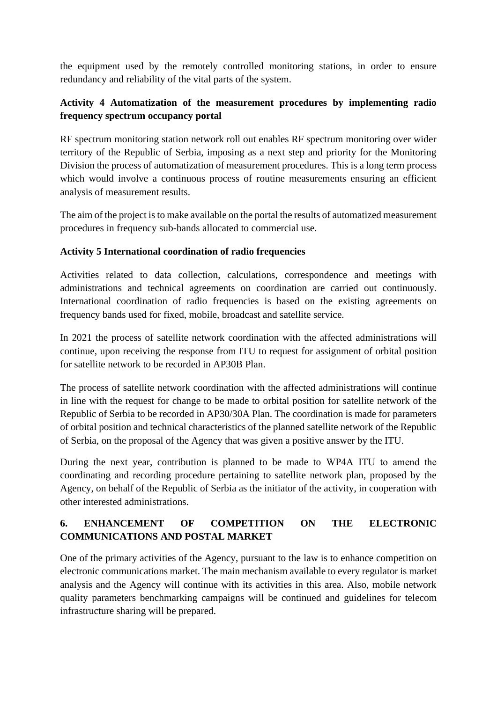the equipment used by the remotely controlled monitoring stations, in order to ensure redundancy and reliability of the vital parts of the system.

# **Activity 4 Automatization of the measurement procedures by implementing radio frequency spectrum occupancy portal**

RF spectrum monitoring station network roll out enables RF spectrum monitoring over wider territory of the Republic of Serbia, imposing as a next step and priority for the Monitoring Division the process of automatization of measurement procedures. This is a long term process which would involve a continuous process of routine measurements ensuring an efficient analysis of measurement results.

The aim of the project is to make available on the portal the results of automatized measurement procedures in frequency sub-bands allocated to commercial use.

# **Activity 5 International coordination of radio frequencies**

Activities related to data collection, calculations, correspondence and meetings with administrations and technical agreements on coordination are carried out continuously. International coordination of radio frequencies is based on the existing agreements on frequency bands used for fixed, mobile, broadcast and satellite service.

In 2021 the process of satellite network coordination with the affected administrations will continue, upon receiving the response from ITU to request for assignment of orbital position for satellite network to be recorded in AP30B Plan.

The process of satellite network coordination with the affected administrations will continue in line with the request for change to be made to orbital position for satellite network of the Republic of Serbia to be recorded in AP30/30A Plan. The coordination is made for parameters of orbital position and technical characteristics of the planned satellite network of the Republic of Serbia, on the proposal of the Agency that was given a positive answer by the ITU.

During the next year, contribution is planned to be made to WP4А ITU to amend the coordinating and recording procedure pertaining to satellite network plan, proposed by the Agency, on behalf of the Republic of Serbia as the initiator of the activity, in cooperation with other interested administrations.

# **6. ENHANCEMENT OF COMPETITION ON THE ELECTRONIC COMMUNICATIONS AND POSTAL MARKET**

One of the primary activities of the Agency, pursuant to the law is to enhance competition on electronic communications market. The main mechanism available to every regulator is market analysis and the Agency will continue with its activities in this area. Also, mobile network quality parameters benchmarking campaigns will be continued and guidelines for telecom infrastructure sharing will be prepared.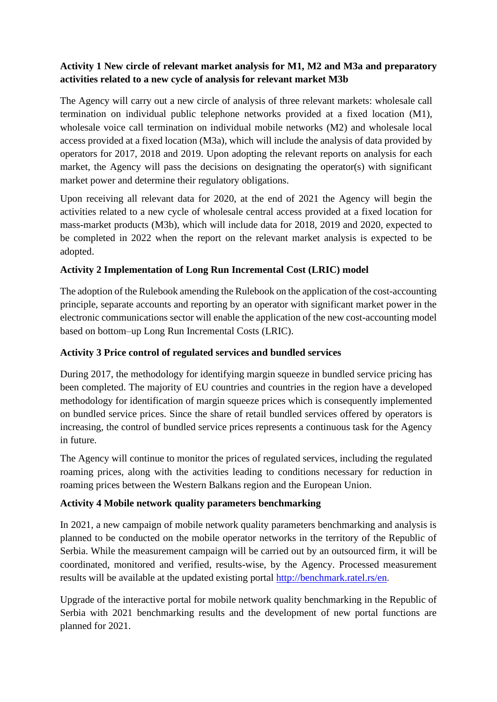# **Activity 1 New circle of relevant market analysis for M1, M2 and M3a and preparatory activities related to a new cycle of analysis for relevant market M3b**

The Agency will carry out a new circle of analysis of three relevant markets: wholesale call termination on individual public telephone networks provided at a fixed location (M1), wholesale voice call termination on individual mobile networks (M2) and wholesale local access provided at a fixed location (M3a), which will include the analysis of data provided by operators for 2017, 2018 and 2019. Upon adopting the relevant reports on analysis for each market, the Agency will pass the decisions on designating the operator(s) with significant market power and determine their regulatory obligations.

Upon receiving all relevant data for 2020, at the end of 2021 the Agency will begin the activities related to a new cycle of wholesale central access provided at a fixed location for mass-market products (M3b), which will include data for 2018, 2019 and 2020, expected to be completed in 2022 when the report on the relevant market analysis is expected to be adopted.

# **Activity 2 Implementation of Long Run Incremental Cost (LRIC) model**

The adoption of the Rulebook amending the Rulebook on the application of the cost-accounting principle, separate accounts and reporting by an operator with significant market power in the electronic communications sector will enable the application of the new cost-accounting model based on bottom–up Long Run Incremental Costs (LRIC).

## **Activity 3 Price control of regulated services and bundled services**

During 2017, the methodology for identifying margin squeeze in bundled service pricing has been completed. The majority of EU countries and countries in the region have a developed methodology for identification of margin squeeze prices which is consequently implemented on bundled service prices. Since the share of retail bundled services offered by operators is increasing, the control of bundled service prices represents a continuous task for the Agency in future.

The Agency will continue to monitor the prices of regulated services, including the regulated roaming prices, along with the activities leading to conditions necessary for reduction in roaming prices between the Western Balkans region and the European Union.

# **Activity 4 Mobile network quality parameters benchmarking**

In 2021, a new campaign of mobile network quality parameters benchmarking and analysis is planned to be conducted on the mobile operator networks in the territory of the Republic of Serbia. While the measurement campaign will be carried out by an outsourced firm, it will be coordinated, monitored and verified, results-wise, by the Agency. Processed measurement results will be available at the updated existing portal<http://benchmark.ratel.rs/en>.

Upgrade of the interactive portal for mobile network quality benchmarking in the Republic of Serbia with 2021 benchmarking results and the development of new portal functions are planned for 2021.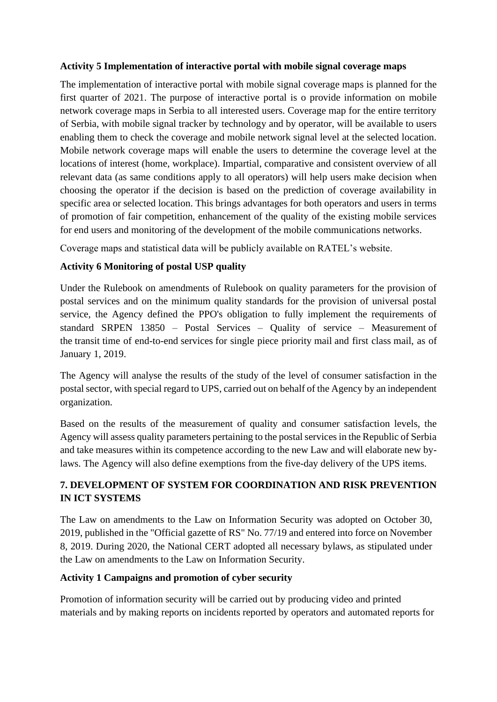#### **Activity 5 Implementation of interactive portal with mobile signal coverage maps**

The implementation of interactive portal with mobile signal coverage maps is planned for the first quarter of 2021. The purpose of interactive portal is o provide information on mobile network coverage maps in Serbia to all interested users. Coverage map for the entire territory of Serbia, with mobile signal tracker by technology and by operator, will be available to users enabling them to check the coverage and mobile network signal level at the selected location. Mobile network coverage maps will enable the users to determine the coverage level at the locations of interest (home, workplace). Impartial, comparative and consistent overview of all relevant data (as same conditions apply to all operators) will help users make decision when choosing the operator if the decision is based on the prediction of coverage availability in specific area or selected location. This brings advantages for both operators and users in terms of promotion of fair competition, enhancement of the quality of the existing mobile services for end users and monitoring of the development of the mobile communications networks.

Coverage maps and statistical data will be publicly available on RATEL's website.

## **Activity 6 Monitoring of postal USP quality**

Under the Rulebook on amendments of Rulebook on quality parameters for the provision of postal services and on the minimum quality standards for the provision of universal postal service, the Agency defined the PPO's obligation to fully implement the requirements of standard SRPEN 13850 – Postal Services – Quality of service – Measurement of the transit time of end-to-end services for single piece priority mail and first class mail, as of January 1, 2019.

The Agency will analyse the results of the study of the level of consumer satisfaction in the postal sector, with special regard to UPS, carried out on behalf of the Agency by an independent organization.

Based on the results of the measurement of quality and consumer satisfaction levels, the Agency will assess quality parameters pertaining to the postal services in the Republic of Serbia and take measures within its competence according to the new Law and will elaborate new bylaws. The Agency will also define exemptions from the five-day delivery of the UPS items.

# **7. DEVELOPMENT OF SYSTEM FOR COORDINATION AND RISK PREVENTION IN ICT SYSTEMS**

The Law on amendments to the Law on Information Security was adopted on October 30, 2019, published in the "Official gazette of RS" No. 77/19 and entered into force on November 8, 2019. During 2020, the National CERT adopted all necessary bylaws, as stipulated under the Law on amendments to the Law on Information Security.

#### **Activity 1 Campaigns and promotion of cyber security**

Promotion of information security will be carried out by producing video and printed materials and by making reports on incidents reported by operators and automated reports for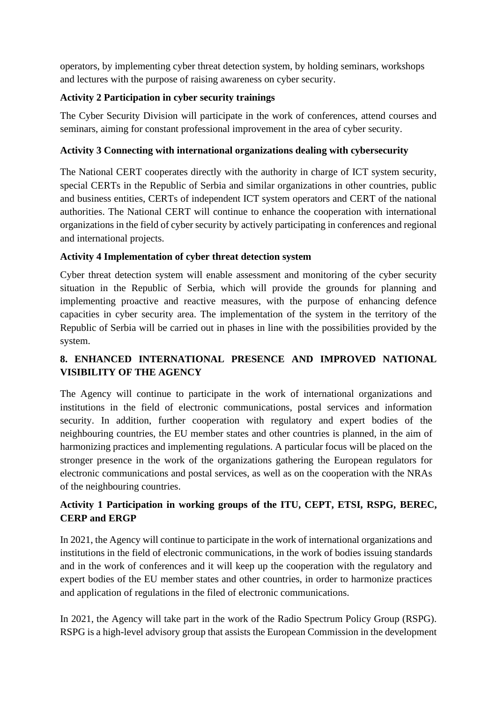operators, by implementing cyber threat detection system, by holding seminars, workshops and lectures with the purpose of raising awareness on cyber security.

## **Activity 2 Participation in cyber security trainings**

The Cyber Security Division will participate in the work of conferences, attend courses and seminars, aiming for constant professional improvement in the area of cyber security.

## **Activity 3 Connecting with international organizations dealing with cybersecurity**

The National CERT cooperates directly with the authority in charge of ICT system security, special CERTs in the Republic of Serbia and similar organizations in other countries, public and business entities, CERTs of independent ICT system operators and CERT of the national authorities. The National CERT will continue to enhance the cooperation with international organizations in the field of cyber security by actively participating in conferences and regional and international projects.

## **Activity 4 Implementation of cyber threat detection system**

Cyber threat detection system will enable assessment and monitoring of the cyber security situation in the Republic of Serbia, which will provide the grounds for planning and implementing proactive and reactive measures, with the purpose of enhancing defence capacities in cyber security area. The implementation of the system in the territory of the Republic of Serbia will be carried out in phases in line with the possibilities provided by the system.

# **8. ENHANCED INTERNATIONAL PRESENCE AND IMPROVED NATIONAL VISIBILITY OF THE AGENCY**

The Agency will continue to participate in the work of international organizations and institutions in the field of electronic communications, postal services and information security. In addition, further cooperation with regulatory and expert bodies of the neighbouring countries, the EU member states and other countries is planned, in the aim of harmonizing practices and implementing regulations. A particular focus will be placed on the stronger presence in the work of the organizations gathering the European regulators for electronic communications and postal services, as well as on the cooperation with the NRAs of the neighbouring countries.

# **Activity 1 Participation in working groups of the ITU, CEPT, ETSI, RSPG, BEREC, CERP and ERGP**

In 2021, the Agency will continue to participate in the work of international organizations and institutions in the field of electronic communications, in the work of bodies issuing standards and in the work of conferences and it will keep up the cooperation with the regulatory and expert bodies of the EU member states and other countries, in order to harmonize practices and application of regulations in the filed of electronic communications.

In 2021, the Agency will take part in the work of the Radio Spectrum Policy Group (RSPG). RSPG is a high-level advisory group that assists the European Commission in the development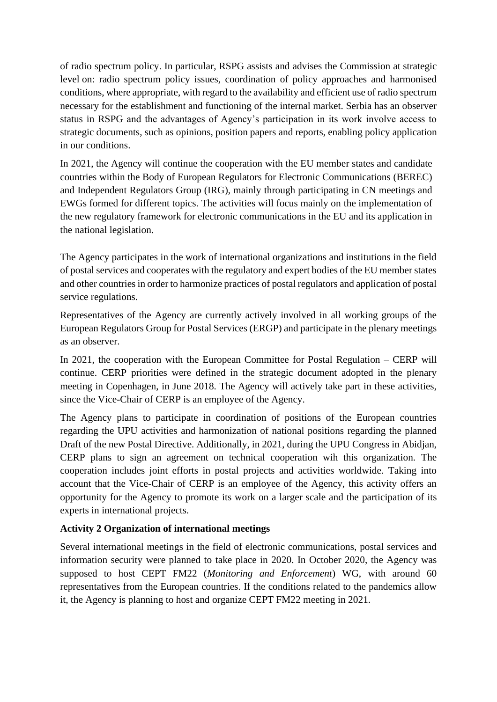of radio spectrum policy. In particular, RSPG assists and advises the Commission at strategic level on: radio spectrum policy issues, coordination of policy approaches and harmonised conditions, where appropriate, with regard to the availability and efficient use of radio spectrum necessary for the establishment and functioning of the internal market. Serbia has an observer status in RSPG and the advantages of Agency's participation in its work involve access to strategic documents, such as opinions, position papers and reports, enabling policy application in our conditions.

In 2021, the Agency will continue the cooperation with the EU member states and candidate countries within the Body of European Regulators for Electronic Communications (BEREC) and Independent Regulators Group (IRG), mainly through participating in CN meetings and EWGs formed for different topics. The activities will focus mainly on the implementation of the new regulatory framework for electronic communications in the EU and its application in the national legislation.

The Agency participates in the work of international organizations and institutions in the field of postal services and cooperates with the regulatory and expert bodies of the EU member states and other countries in order to harmonize practices of postal regulators and application of postal service regulations.

Representatives of the Agency are currently actively involved in all working groups of the European Regulators Group for Postal Services (ERGP) and participate in the plenary meetings as an observer.

In 2021, the cooperation with the European Committee for Postal Regulation – CERP will continue. CERP priorities were defined in the strategic document adopted in the plenary meeting in Copenhagen, in June 2018. The Agency will actively take part in these activities, since the Vice-Chair of CERP is an employee of the Agency.

The Agency plans to participate in coordination of positions of the European countries regarding the UPU activities and harmonization of national positions regarding the planned Draft of the new Postal Directive. Additionally, in 2021, during the UPU Congress in Abidjan, CERP plans to sign an agreement on technical cooperation wih this organization. The cooperation includes joint efforts in postal projects and activities worldwide. Taking into account that the Vice-Chair of CERP is an employee of the Agency, this activity offers an opportunity for the Agency to promote its work on a larger scale and the participation of its experts in international projects.

# **Activity 2 Organization of international meetings**

Several international meetings in the field of electronic communications, postal services and information security were planned to take place in 2020. In October 2020, the Agency was supposed to host CEPT FM22 (*Monitoring and Enforcement*) WG, with around 60 representatives from the European countries. If the conditions related to the pandemics allow it, the Agency is planning to host and organize CEPT FM22 meeting in 2021.